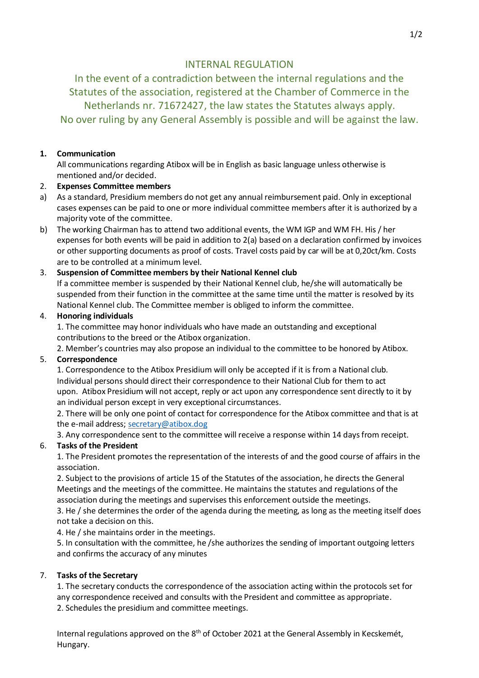# INTERNAL REGULATION

In the event of a contradiction between the internal regulations and the Statutes of the association, registered at the Chamber of Commerce in the Netherlands nr. 71672427, the law states the Statutes always apply. No over ruling by any General Assembly is possible and will be against the law.

### **1. Communication**

All communications regarding Atibox will be in English as basic language unless otherwise is mentioned and/or decided.

### 2. **Expenses Committee members**

- a) As a standard, Presidium members do not get any annual reimbursement paid. Only in exceptional cases expenses can be paid to one or more individual committee members after it is authorized by a majority vote of the committee.
- b) The working Chairman has to attend two additional events, the WM IGP and WM FH. His / her expenses for both events will be paid in addition to 2(a) based on a declaration confirmed by invoices or other supporting documents as proof of costs. Travel costs paid by car will be at 0,20ct/km. Costs are to be controlled at a minimum level.

# 3. **Suspension of Committee members by their National Kennel club**

If a committee member is suspended by their National Kennel club, he/she will automatically be suspended from their function in the committee at the same time until the matter is resolved by its National Kennel club. The Committee member is obliged to inform the committee.

### 4. **Honoring individuals**

1. The committee may honor individuals who have made an outstanding and exceptional contributions to the breed or the Atibox organization.

2. Member's countries may also propose an individual to the committee to be honored by Atibox.

# 5. **Correspondence**

1. Correspondence to the Atibox Presidium will only be accepted if it is from a National club. Individual persons should direct their correspondence to their National Club for them to act upon. Atibox Presidium will not accept, reply or act upon any correspondence sent directly to it by an individual person except in very exceptional circumstances.

2. There will be only one point of contact for correspondence for the Atibox committee and that is at the e-mail address; [secretary@atibox.dog](mailto:secretary@atibox.dog)

3. Any correspondence sent to the committee will receive a response within 14 days from receipt.

# 6. **Tasks of the President**

1. The President promotes the representation of the interests of and the good course of affairs in the association.

2. Subject to the provisions of article 15 of the Statutes of the association, he directs the General Meetings and the meetings of the committee. He maintains the statutes and regulations of the association during the meetings and supervises this enforcement outside the meetings.

3. He / she determines the order of the agenda during the meeting, as long as the meeting itself does not take a decision on this.

4. He / she maintains order in the meetings.

5. In consultation with the committee, he /she authorizes the sending of important outgoing letters and confirms the accuracy of any minutes

#### 7. **Tasks of the Secretary**

1. The secretary conducts the correspondence of the association acting within the protocols set for any correspondence received and consults with the President and committee as appropriate. 2. Schedules the presidium and committee meetings.

Internal regulations approved on the 8<sup>th</sup> of October 2021 at the General Assembly in Kecskemét, Hungary.